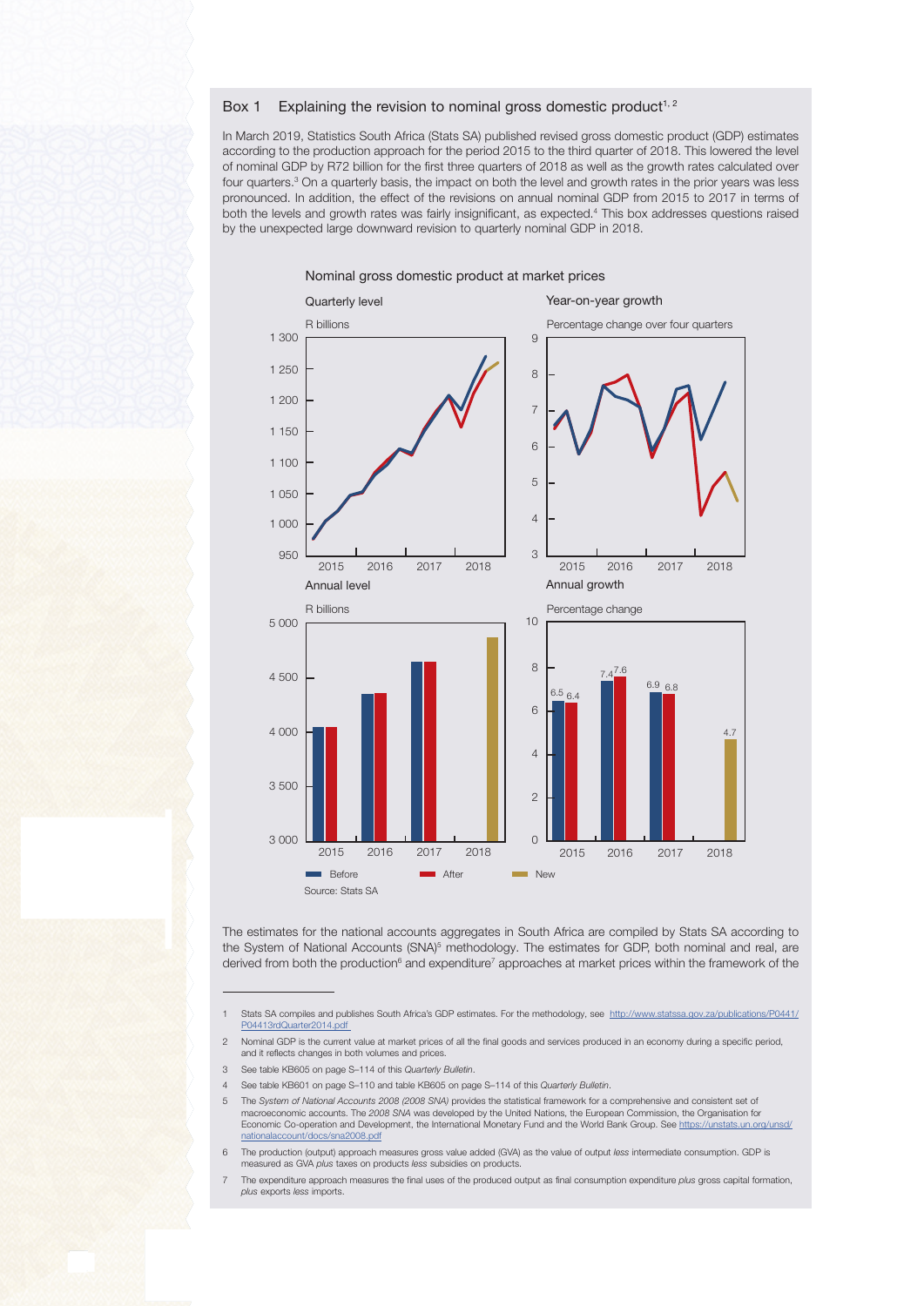## Box 1 Explaining the revision to nominal gross domestic product<sup>1, 2</sup>

In March 2019, Statistics South Africa (Stats SA) published revised gross domestic product (GDP) estimates according to the production approach for the period 2015 to the third quarter of 2018. This lowered the level of nominal GDP by R72 billion for the first three quarters of 2018 as well as the growth rates calculated over four quarters.<sup>3</sup> On a quarterly basis, the impact on both the level and growth rates in the prior years was less pronounced. In addition, the effect of the revisions on annual nominal GDP from 2015 to 2017 in terms of both the levels and growth rates was fairly insignificant, as expected.4 This box addresses questions raised by the unexpected large downward revision to quarterly nominal GDP in 2018.



The estimates for the national accounts aggregates in South Africa are compiled by Stats SA according to the System of National Accounts (SNA)<sup>5</sup> methodology. The estimates for GDP, both nominal and real, are derived from both the production<sup>6</sup> and expenditure<sup>7</sup> approaches at market prices within the framework of the

Stats SA compiles and publishes South Africa's GDP estimates. For the methodology, see [http://www.statssa.gov.za/publications/P0441/](http://www.statssa.gov.za/publications/P0441/P04413rdQuarter2014.pdf) [P04413rdQuarter2014.pdf](http://www.statssa.gov.za/publications/P0441/P04413rdQuarter2014.pdf) 

<sup>2</sup> Nominal GDP is the current value at market prices of all the final goods and services produced in an economy during a specific period, and it reflects changes in both volumes and prices.

<sup>3</sup> See table KB605 on page S–114 of this Quarterly Bulletin.

<sup>4</sup> See table KB601 on page S–110 and table KB605 on page S–114 of this Quarterly Bulletin.

The System of National Accounts 2008 (2008 SNA) provides the statistical framework for a comprehensive and consistent set of macroeconomic accounts. The 2008 SNA was developed by the United Nations, the European Commission, the Organisation for Economic Co-operation and Development, the International Monetary Fund and the World Bank Group. See [https://unstats.un.org/unsd/](https://unstats.un.org/unsd/nationalaccount/docs/SNA2008.pdf) [nationalaccount/docs/sna2008.pdf](https://unstats.un.org/unsd/nationalaccount/docs/SNA2008.pdf)

The production (output) approach measures gross value added (GVA) as the value of output less intermediate consumption. GDP is measured as GVA plus taxes on products less subsidies on products.

The expenditure approach measures the final uses of the produced output as final consumption expenditure plus gross capital formation, plus exports less imports.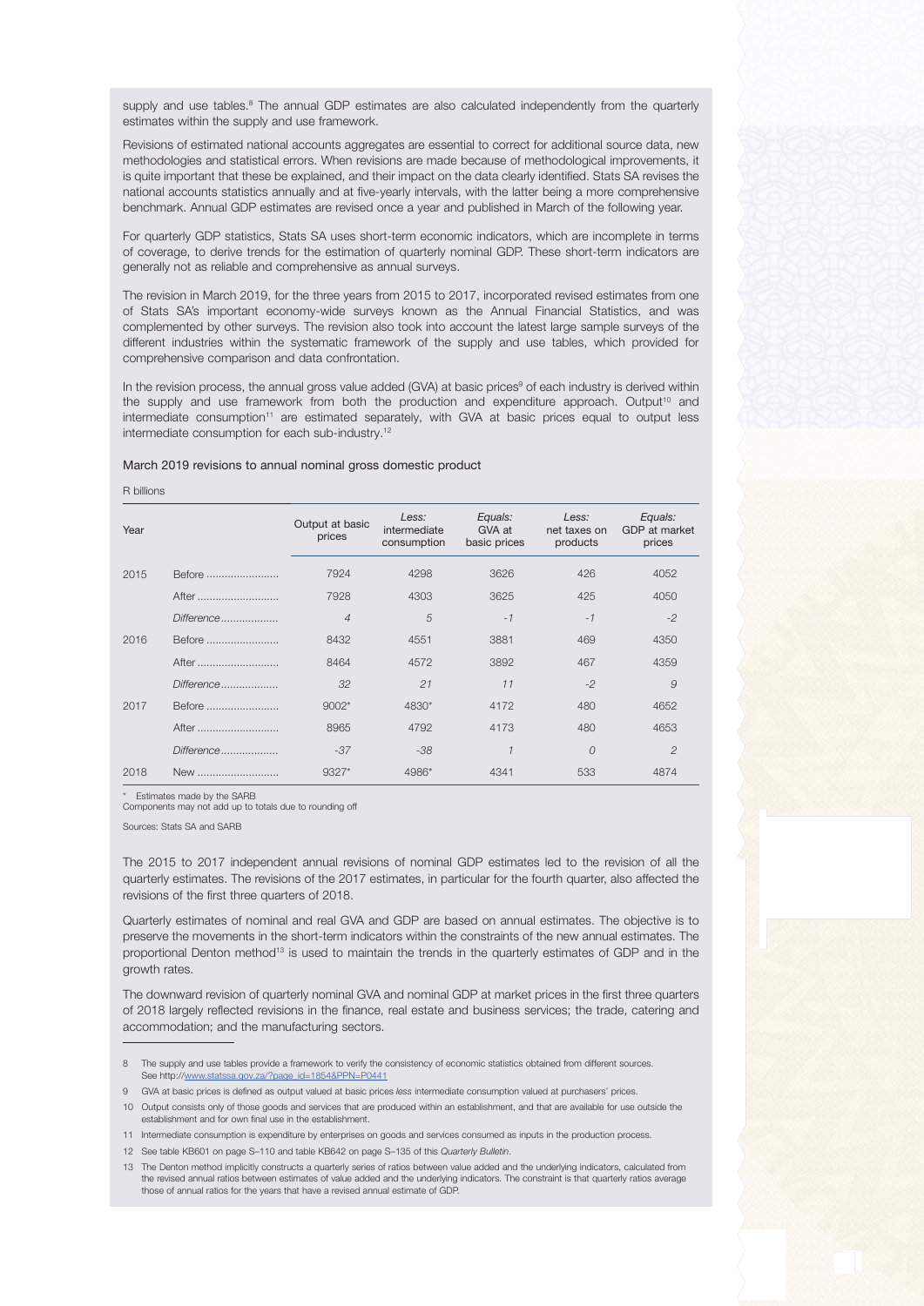supply and use tables.<sup>8</sup> The annual GDP estimates are also calculated independently from the quarterly estimates within the supply and use framework.

Revisions of estimated national accounts aggregates are essential to correct for additional source data, new methodologies and statistical errors. When revisions are made because of methodological improvements, it is quite important that these be explained, and their impact on the data clearly identified. Stats SA revises the national accounts statistics annually and at five-yearly intervals, with the latter being a more comprehensive benchmark. Annual GDP estimates are revised once a year and published in March of the following year.

For quarterly GDP statistics, Stats SA uses short-term economic indicators, which are incomplete in terms of coverage, to derive trends for the estimation of quarterly nominal GDP. These short-term indicators are generally not as reliable and comprehensive as annual surveys.

The revision in March 2019, for the three years from 2015 to 2017, incorporated revised estimates from one of Stats SA's important economy-wide surveys known as the Annual Financial Statistics, and was complemented by other surveys. The revision also took into account the latest large sample surveys of the different industries within the systematic framework of the supply and use tables, which provided for comprehensive comparison and data confrontation.

In the revision process, the annual gross value added (GVA) at basic prices<sup>9</sup> of each industry is derived within the supply and use framework from both the production and expenditure approach. Output<sup>10</sup> and intermediate consumption<sup>11</sup> are estimated separately, with GVA at basic prices equal to output less intermediate consumption for each sub-industry.12

## March 2019 revisions to annual nominal gross domestic product

R billions

| Year |            | Output at basic<br>prices | Less:<br>intermediate<br>consumption | Equals:<br>GVA at<br>basic prices | Less:<br>net taxes on<br>products | Equals:<br>GDP at market<br>prices |
|------|------------|---------------------------|--------------------------------------|-----------------------------------|-----------------------------------|------------------------------------|
| 2015 | Before     | 7924                      | 4298                                 | 3626                              | 426                               | 4052                               |
|      | After      | 7928                      | 4303                                 | 3625                              | 425                               | 4050                               |
|      | Difference | $\overline{4}$            | 5                                    | $-1$                              | $-1$                              | $-2$                               |
| 2016 | Before     | 8432                      | 4551                                 | 3881                              | 469                               | 4350                               |
|      | After      | 8464                      | 4572                                 | 3892                              | 467                               | 4359                               |
|      | Difference | 32                        | 21                                   | 11                                | $-2$                              | 9                                  |
| 2017 | Before     | $9002*$                   | 4830*                                | 4172                              | 480                               | 4652                               |
|      | After      | 8965                      | 4792                                 | 4173                              | 480                               | 4653                               |
|      | Difference | $-37$                     | $-38$                                | 1                                 | $\overline{O}$                    | $\mathcal{P}$                      |
| 2018 | New        | 9327*                     | 4986*                                | 4341                              | 533                               | 4874                               |

\* Estimates made by the SARB

Components may not add up to totals due to rounding off

Sources: Stats SA and SARB

The 2015 to 2017 independent annual revisions of nominal GDP estimates led to the revision of all the quarterly estimates. The revisions of the 2017 estimates, in particular for the fourth quarter, also affected the revisions of the first three quarters of 2018.

Quarterly estimates of nominal and real GVA and GDP are based on annual estimates. The objective is to preserve the movements in the short-term indicators within the constraints of the new annual estimates. The proportional Denton method<sup>13</sup> is used to maintain the trends in the quarterly estimates of GDP and in the growth rates.

The downward revision of quarterly nominal GVA and nominal GDP at market prices in the first three quarters of 2018 largely reflected revisions in the finance, real estate and business services; the trade, catering and accommodation; and the manufacturing sectors.

<sup>8</sup> The supply and use tables provide a framework to verify the consistency of economic statistics obtained from different sources. See http://[www.statssa.gov.za/?page\\_id=1854&PPN=P0441](http://www.statssa.gov.za/?page_id=1854&PPN=P0441)

<sup>9</sup> GVA at basic prices is defined as output valued at basic prices less intermediate consumption valued at purchasers' prices.

<sup>10</sup> Output consists only of those goods and services that are produced within an establishment, and that are available for use outside the establishment and for own final use in the establishment.

<sup>11</sup> Intermediate consumption is expenditure by enterprises on goods and services consumed as inputs in the production process.

<sup>12</sup> See table KB601 on page S–110 and table KB642 on page S–135 of this Quarterly Bulletin.

<sup>13</sup> The Denton method implicitly constructs a quarterly series of ratios between value added and the underlying indicators, calculated from the revised annual ratios between estimates of value added and the underlying indicators. The constraint is that quarterly ratios average those of annual ratios for the years that have a revised annual estimate of GDP.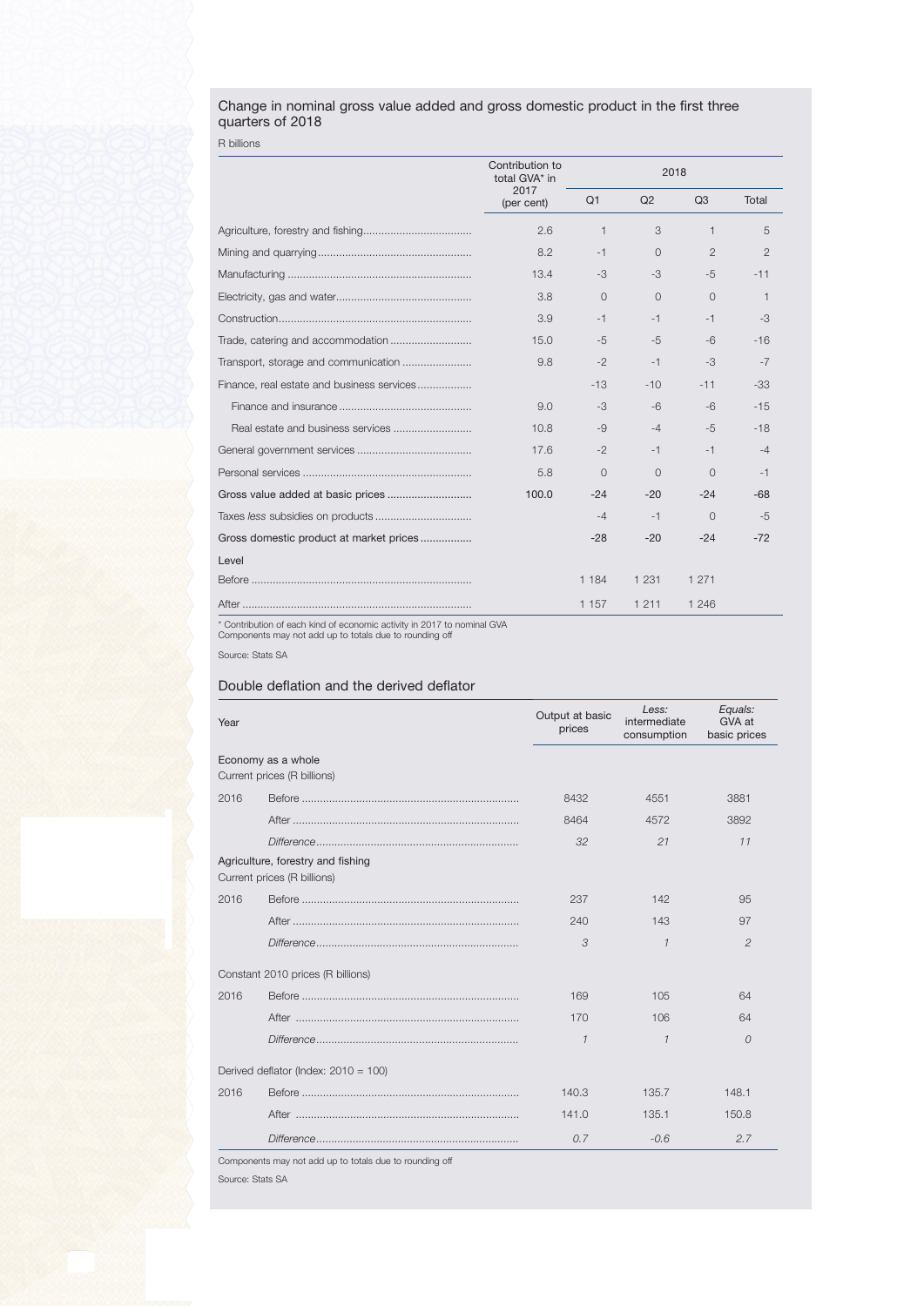## Change in nominal gross value added and gross domestic product in the first three quarters of 2018

R billions

|                                            | Contribution to<br>total GVA* in |          |                |                |                |
|--------------------------------------------|----------------------------------|----------|----------------|----------------|----------------|
|                                            | 2017<br>(per cent)               | Q1       | Q <sub>2</sub> | Q <sub>3</sub> | Total          |
|                                            | 2.6                              | 1        | 3              | 1              | 5              |
|                                            | 8.2                              | $-1$     | $\overline{0}$ | $\overline{2}$ | $\overline{2}$ |
|                                            | 13.4                             | $-3$     | $-3$           | $-5$           | $-11$          |
|                                            | 3.8                              | $\Omega$ | $\Omega$       | $\Omega$       | $\mathbf{1}$   |
|                                            | 3.9                              | $-1$     | $-1$           | $-1$           | $-3$           |
|                                            | 15.0                             | $-5$     | $-5$           | $-6$           | $-16$          |
| Transport, storage and communication       | 9.8                              | $-2$     | $-1$           | $-3$           | $-7$           |
| Finance, real estate and business services |                                  | $-13$    | $-10$          | $-11$          | $-33$          |
|                                            | 9.0                              | $-3$     | $-6$           | -6             | $-15$          |
|                                            | 10.8                             | $-9$     | $-4$           | $-5$           | $-18$          |
|                                            | 17.6                             | $-2$     | $-1$           | $-1$           | -4             |
|                                            | 5.8                              | $\Omega$ | $\Omega$       | $\Omega$       | $-1$           |
|                                            | 100.0                            | $-24$    | $-20$          | $-24$          | $-68$          |
|                                            |                                  | $-4$     | $-1$           | $\overline{0}$ | -5             |
| Gross domestic product at market prices    |                                  | $-28$    | $-20$          | $-24$          | $-72$          |
| Level                                      |                                  |          |                |                |                |
|                                            |                                  | 1 1 8 4  | 1 2 3 1        | 1 2 7 1        |                |
|                                            |                                  | 1 1 5 7  | 1 2 1 1        | 1 2 4 6        |                |

\* Contribution of each kind of economic activity in 2017 to nominal GVA Components may not add up to totals due to rounding off

Source: Stats SA

## Double deflation and the derived deflator

| Year                                              |                                                                  | Output at basic<br>prices | Less:<br>intermediate<br>consumption | Equals:<br>GVA at<br>basic prices |
|---------------------------------------------------|------------------------------------------------------------------|---------------------------|--------------------------------------|-----------------------------------|
| Economy as a whole<br>Current prices (R billions) |                                                                  |                           |                                      |                                   |
| 2016                                              |                                                                  | 8432                      | 4551                                 | 3881                              |
|                                                   |                                                                  | 8464                      | 4572                                 | 3892                              |
|                                                   |                                                                  | 32                        | 21                                   | 11                                |
|                                                   | Agriculture, forestry and fishing<br>Current prices (R billions) |                           |                                      |                                   |
| 2016                                              |                                                                  | 237                       | 142                                  | 95                                |
|                                                   |                                                                  | 240                       | 143                                  | 97                                |
|                                                   |                                                                  | 3                         | $\mathcal I$                         | $\overline{c}$                    |
|                                                   | Constant 2010 prices (R billions)                                |                           |                                      |                                   |
| 2016                                              |                                                                  | 169                       | 105                                  | 64                                |
|                                                   |                                                                  | 170                       | 106                                  | 64                                |
|                                                   |                                                                  | $\mathcal{I}$             | $\mathcal I$                         | $\Omega$                          |
|                                                   | Derived deflator (Index: $2010 = 100$ )                          |                           |                                      |                                   |
| 2016                                              |                                                                  | 140.3                     | 135.7                                | 148.1                             |
|                                                   |                                                                  | 141.0                     | 135.1                                | 150.8                             |
|                                                   |                                                                  | 0.7                       | $-0.6$                               | 2.7                               |

Components may not add up to totals due to rounding off

Source: Stats SA